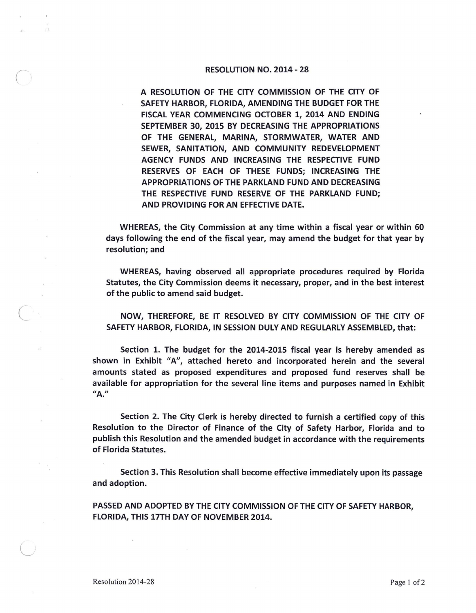## RESOLUTION NO. 2014 - 28

A RESOLUTION OF THE CITY COMMISSION OF THE CITY OF SAFETY HARBOR, FLORIDA, AMENDING THE BUDGET FOR THE FISCAL YEAR COMMENCING OCTOBER 1, 2014 AND ENDING SEPTEMBER 30, 2015 BY DECREASING THE APPROPRIATIONS OF THE GENERAL, MARINA, STORMWATER, WATER AND SEWER, SANITATION, AND COMMUNITY REDEVELOPMENT AGENCY FUNDS AND INCREASING THE RESPECTIVE FUND RESERVES OF EACH OF THESE FUNDS; INCREASING THE APPROPRIATIONS OF THE PARKLAND FUND AND DECREASING THE RESPECTIVE FUND RESERVE OF THE PARKLAND FUND; AND PROVIDING FOR AN EFFECTIVE DATE.

WHEREAS, the City Commission at any time within a fiscal year or within 60 days following the end of the fiscal year, may amend the budget for that year by resolution; and

WHEREAS, having observed all appropriate procedures required by Florida Statutes, the City Commission deems it necessary, proper, and in the best interest of the public to amend said budget.

NOW, THEREFORE, BE IT RESOLVED BY CITY COMMISSION OF THE CITY OF SAFETY HARBOR, FLORIDA, IN SESSION DULY AND REGULARLY ASSEMBLED, that:

Section 1. The budget for the 2014-2015 fiscal year is hereby amended as shown in Exhibit "A", attached hereto and incorporated herein and the several amounts stated as proposed expenditures and proposed fund reserves shall be available for appropriation for the several line items and purposes named in Exhibit *II* **A."** 

Section 2. The City Clerk is hereby directed to furnish a certified copy of this Resolution to the Director of Finance of the City of Safety Harbor, Florida and to publish this Resolution and the amended budget in accordance with the requirements of Florida Statutes.

Section 3. This Resolution shall become effective immediately upon its passage and adoption.

PASSED AND ADOPTED BY THE CITY COMMISSION OF THE CITY OF SAFETY HARBOR, FLORIDA, THIS 17TH DAY OF NOVEMBER 2014.

 $\bigcirc$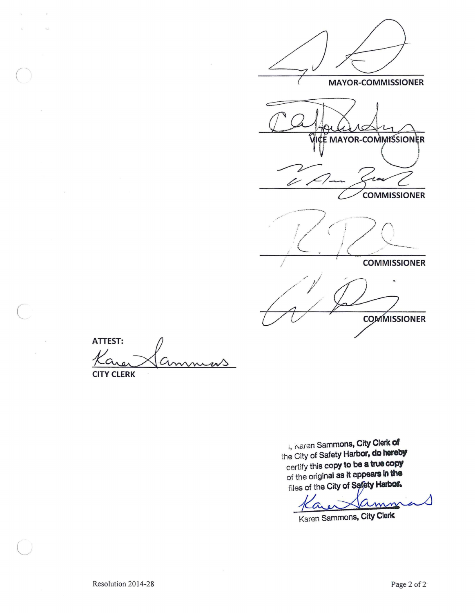

ATTEST:  $\sim$ 

**CITY CLERK** 

i, Karen Sammons, City Clerk of the City of Safety Harbor, do hereby certify this copy to be a true copy of the original as it appears in the files of the City of Safety Harbor.

mn

Karen Sammons, City Clerk